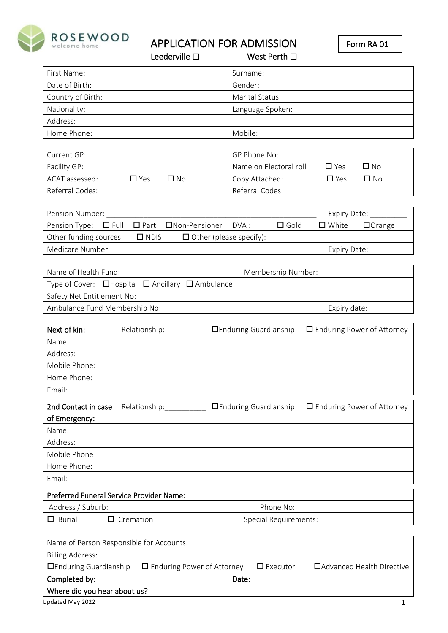

APPLICATION FOR ADMISSION<br>Leederville  $\square$  West Perth  $\square$ 

|                               | Leederville $\square$                            |          | West Perth $\square$          |                 |                                   |
|-------------------------------|--------------------------------------------------|----------|-------------------------------|-----------------|-----------------------------------|
| First Name:                   |                                                  | Surname: |                               |                 |                                   |
| Date of Birth:                |                                                  | Gender:  |                               |                 |                                   |
| Country of Birth:             |                                                  |          | Marital Status:               |                 |                                   |
| Nationality:                  |                                                  |          | Language Spoken:              |                 |                                   |
| Address:                      |                                                  |          |                               |                 |                                   |
| Home Phone:                   |                                                  | Mobile:  |                               |                 |                                   |
|                               |                                                  |          |                               |                 |                                   |
| Current GP:                   |                                                  |          | GP Phone No:                  |                 |                                   |
| Facility GP:                  |                                                  |          | Name on Electoral roll        | $\square$ Yes   | $\Box$ No                         |
| ACAT assessed:                | $\Box$ Yes<br>$\square$ No                       |          | Copy Attached:                | $\Box$ Yes      | $\Box$ No                         |
| Referral Codes:               |                                                  |          | Referral Codes:               |                 |                                   |
|                               |                                                  |          |                               |                 |                                   |
| Pension Number:               |                                                  |          |                               |                 | Expiry Date: _______              |
| Pension Type: $\Box$ Full     | □ Part □ Non-Pensioner                           | DVA:     | $\square$ Gold                | $\square$ White | $\Box$ Orange                     |
| Other funding sources:        | $\Box$ NDIS<br>$\Box$ Other (please specify):    |          |                               |                 |                                   |
| Medicare Number:              |                                                  |          |                               | Expiry Date:    |                                   |
|                               |                                                  |          |                               |                 |                                   |
| Name of Health Fund:          |                                                  |          | Membership Number:            |                 |                                   |
|                               | Type of Cover: □Hospital □ Ancillary □ Ambulance |          |                               |                 |                                   |
| Safety Net Entitlement No:    |                                                  |          |                               |                 |                                   |
| Ambulance Fund Membership No: |                                                  |          |                               | Expiry date:    |                                   |
| Next of kin:                  | Relationship:                                    |          | <b>DEnduring Guardianship</b> |                 | □ Enduring Power of Attorney      |
| Name:                         |                                                  |          |                               |                 |                                   |
| Address:                      |                                                  |          |                               |                 |                                   |
| Mobile Phone:                 |                                                  |          |                               |                 |                                   |
| Home Phone:                   |                                                  |          |                               |                 |                                   |
| Email:                        |                                                  |          |                               |                 |                                   |
| 2nd Contact in case           |                                                  |          |                               |                 |                                   |
| of Emergency:                 | Relationship:                                    |          | <b>DEnduring Guardianship</b> |                 | $\Box$ Enduring Power of Attorney |
| Name:                         |                                                  |          |                               |                 |                                   |
| Address:                      |                                                  |          |                               |                 |                                   |
| Mobile Phone                  |                                                  |          |                               |                 |                                   |
| Home Phone:                   |                                                  |          |                               |                 |                                   |
| Email:                        |                                                  |          |                               |                 |                                   |
|                               |                                                  |          |                               |                 |                                   |
|                               | Preferred Funeral Service Provider Name:         |          |                               |                 |                                   |
| Address / Suburb:             |                                                  |          | Phone No:                     |                 |                                   |
| $\Box$ Burial                 | $\Box$ Cremation                                 |          | <b>Special Requirements:</b>  |                 |                                   |
|                               |                                                  |          |                               |                 |                                   |
|                               | Name of Person Responsible for Accounts:         |          |                               |                 |                                   |
| <b>Billing Address:</b>       |                                                  |          |                               |                 |                                   |
| <b>OEnduring Guardianship</b> | $\Box$ Enduring Power of Attorney                |          | $\Box$ Executor               |                 | □ Advanced Health Directive       |
| Completed by:                 |                                                  | Date:    |                               |                 |                                   |

# Where did you hear about us?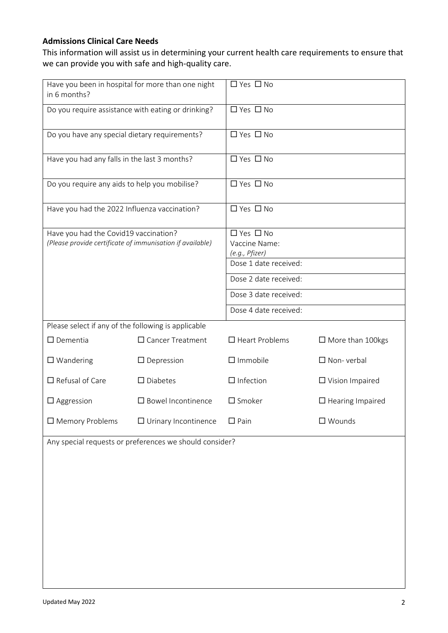# **Admissions Clinical Care Needs**

This information will assist us in determining your current health care requirements to ensure that we can provide you with safe and high-quality care.

| Have you been in hospital for more than one night<br>in 6 months?                                  |                                                         | □ Yes □ No                                                                       |                         |  |  |
|----------------------------------------------------------------------------------------------------|---------------------------------------------------------|----------------------------------------------------------------------------------|-------------------------|--|--|
| Do you require assistance with eating or drinking?                                                 |                                                         | □ Yes □ No                                                                       |                         |  |  |
| Do you have any special dietary requirements?                                                      |                                                         | $\Box$ Yes $\Box$ No                                                             |                         |  |  |
| Have you had any falls in the last 3 months?                                                       |                                                         | $\Box$ Yes $\Box$ No                                                             |                         |  |  |
| Do you require any aids to help you mobilise?                                                      |                                                         | □ Yes □ No                                                                       |                         |  |  |
| Have you had the 2022 Influenza vaccination?                                                       |                                                         | □ Yes □ No                                                                       |                         |  |  |
| Have you had the Covid19 vaccination?<br>(Please provide certificate of immunisation if available) |                                                         | $\Box$ Yes $\Box$ No<br>Vaccine Name:<br>(e.g., Pfizer)<br>Dose 1 date received: |                         |  |  |
|                                                                                                    |                                                         | Dose 2 date received:<br>Dose 3 date received:                                   |                         |  |  |
|                                                                                                    |                                                         | Dose 4 date received:                                                            |                         |  |  |
| Please select if any of the following is applicable                                                |                                                         |                                                                                  |                         |  |  |
| $\square$ Dementia                                                                                 | $\Box$ Cancer Treatment                                 | $\Box$ Heart Problems                                                            | $\Box$ More than 100kgs |  |  |
| $\square$ Wandering                                                                                | $\Box$ Depression                                       | $\Box$ Immobile                                                                  | $\Box$ Non-verbal       |  |  |
| $\Box$ Refusal of Care                                                                             | $\square$ Diabetes                                      | $\Box$ Infection                                                                 | $\Box$ Vision Impaired  |  |  |
| $\Box$ Aggression                                                                                  | $\square$ Bowel Incontinence                            | $\square$ Smoker                                                                 | $\Box$ Hearing Impaired |  |  |
| $\square$ Memory Problems                                                                          | $\Box$ Urinary Incontinence                             | $\Box$ Pain                                                                      | $\square$ Wounds        |  |  |
|                                                                                                    | Any special requests or preferences we should consider? |                                                                                  |                         |  |  |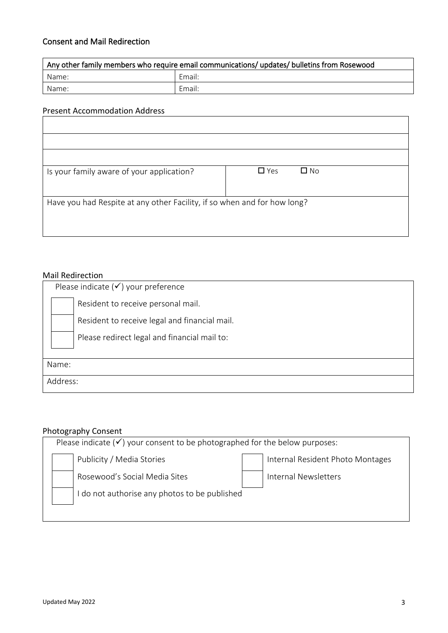# Consent and Mail Redirection

| Any other family members who require email communications/ updates/ bulletins from Rosewood |        |  |  |
|---------------------------------------------------------------------------------------------|--------|--|--|
| Name:                                                                                       | Email: |  |  |
| Name:                                                                                       | Email: |  |  |

#### Present Accommodation Address

| Is your family aware of your application?                                | $\Box$ Yes | $\square$ No |  |  |
|--------------------------------------------------------------------------|------------|--------------|--|--|
|                                                                          |            |              |  |  |
| Have you had Respite at any other Facility, if so when and for how long? |            |              |  |  |
|                                                                          |            |              |  |  |
|                                                                          |            |              |  |  |

#### Mail Redirection

| Please indicate $(\checkmark)$ your preference |
|------------------------------------------------|
| Resident to receive personal mail.             |
| Resident to receive legal and financial mail.  |
| Please redirect legal and financial mail to:   |
|                                                |
| Name:                                          |
| Address:                                       |

# Photography Consent

| Please indicate $(\checkmark)$ your consent to be photographed for the below purposes: |                               |  |                                  |  |
|----------------------------------------------------------------------------------------|-------------------------------|--|----------------------------------|--|
|                                                                                        | Publicity / Media Stories     |  | Internal Resident Photo Montages |  |
|                                                                                        | Rosewood's Social Media Sites |  | Internal Newsletters             |  |
| I do not authorise any photos to be published                                          |                               |  |                                  |  |
|                                                                                        |                               |  |                                  |  |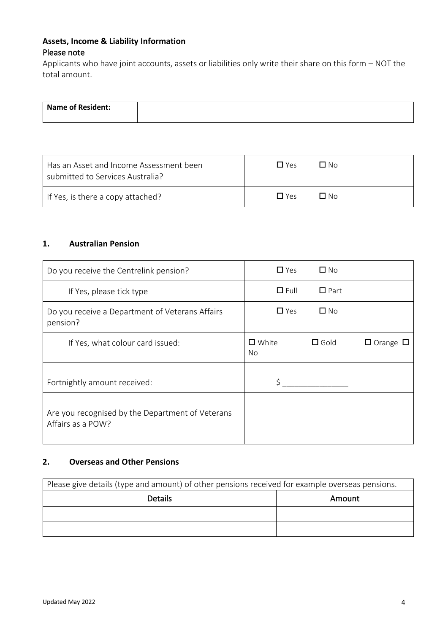# **Assets, Income & Liability Information** Please note

Applicants who have joint accounts, assets or liabilities only write their share on this form – NOT the total amount.

| Name of Resident: |  |
|-------------------|--|
|                   |  |

| Has an Asset and Income Assessment been | $\Box$ Yes        |
|-----------------------------------------|-------------------|
| submitted to Services Australia?        | Π N∩              |
| If Yes, is there a copy attached?       | $\Box$ Yes<br>ΠN∩ |

## **1. Australian Pension**

| Do you receive the Centrelink pension?                                | $\Box$ Yes            | $\Box$ No      |                      |
|-----------------------------------------------------------------------|-----------------------|----------------|----------------------|
| If Yes, please tick type                                              | $\Box$ Full           | $\Box$ Part    |                      |
| Do you receive a Department of Veterans Affairs<br>pension?           | $\Box$ Yes            | $\square$ No   |                      |
| If Yes, what colour card issued:                                      | $\square$ White<br>No | $\square$ Gold | $\Box$ Orange $\Box$ |
| Fortnightly amount received:                                          |                       |                |                      |
| Are you recognised by the Department of Veterans<br>Affairs as a POW? |                       |                |                      |

# **2. Overseas and Other Pensions**

| Please give details (type and amount) of other pensions received for example overseas pensions. |        |  |  |
|-------------------------------------------------------------------------------------------------|--------|--|--|
| <b>Details</b>                                                                                  | Amount |  |  |
|                                                                                                 |        |  |  |
|                                                                                                 |        |  |  |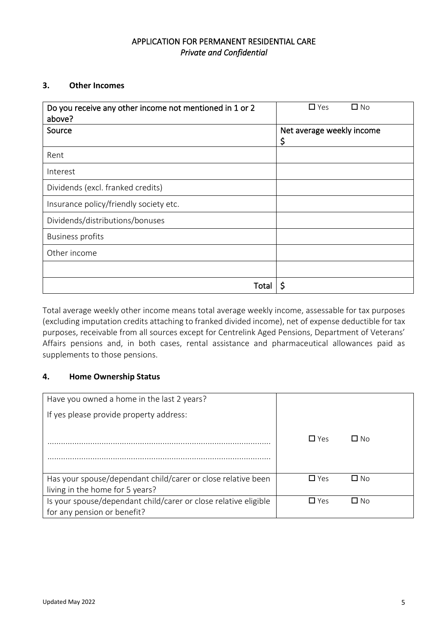# APPLICATION FOR PERMANENT RESIDENTIAL CARE *Private and Confidential*

### **3. Other Incomes**

| Do you receive any other income not mentioned in 1 or 2<br>above? | $\square$ No<br>$\square$ Yes   |
|-------------------------------------------------------------------|---------------------------------|
| Source                                                            | Net average weekly income<br>\$ |
| Rent                                                              |                                 |
| Interest                                                          |                                 |
| Dividends (excl. franked credits)                                 |                                 |
| Insurance policy/friendly society etc.                            |                                 |
| Dividends/distributions/bonuses                                   |                                 |
| <b>Business profits</b>                                           |                                 |
| Other income                                                      |                                 |
|                                                                   |                                 |
| Total                                                             | \$                              |

Total average weekly other income means total average weekly income, assessable for tax purposes (excluding imputation credits attaching to franked divided income), net of expense deductible for tax purposes, receivable from all sources except for Centrelink Aged Pensions, Department of Veterans' Affairs pensions and, in both cases, rental assistance and pharmaceutical allowances paid as supplements to those pensions.

#### **4. Home Ownership Status**

| Have you owned a home in the last 2 years?                      |            |      |  |
|-----------------------------------------------------------------|------------|------|--|
| If yes please provide property address:                         |            |      |  |
|                                                                 |            |      |  |
|                                                                 | $\Box$ Yes | П No |  |
|                                                                 |            |      |  |
|                                                                 |            |      |  |
| Has your spouse/dependant child/carer or close relative been    | $\Box$ Yes | □ No |  |
| living in the home for 5 years?                                 |            |      |  |
| Is your spouse/dependant child/carer or close relative eligible | $\Box$ Yes | ∩ No |  |
| for any pension or benefit?                                     |            |      |  |